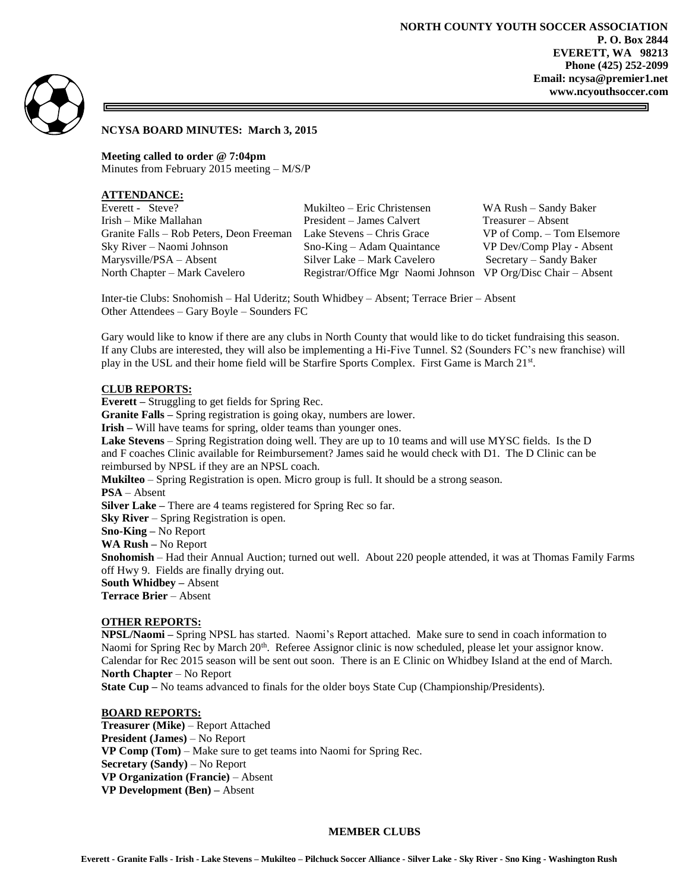

### **NCYSA BOARD MINUTES: March 3, 2015**

**Meeting called to order @ 7:04pm** Minutes from February 2015 meeting – M/S/P

# **ATTENDANCE:**

| Everett - Steve?                         |
|------------------------------------------|
| Irish – Mike Mallahan                    |
| Granite Falls – Rob Peters, Deon Freeman |
| Sky River – Naomi Johnson                |
| Marysville/PSA – Absent                  |
| North Chapter – Mark Cavelero            |

Mukilteo – Eric Christensen WA Rush – Sandy Baker President – James Calvert Treasurer – Absent n Lake Stevens – Chris Grace VP of Comp. – Tom Elsemore Sno-King – Adam Quaintance VP Dev/Comp Play - Absent Silver Lake – Mark Cavelero Secretary – Sandy Baker Registrar/Office Mgr Naomi Johnson VP Org/Disc Chair – Absent

Inter-tie Clubs: Snohomish – Hal Uderitz; South Whidbey – Absent; Terrace Brier – Absent Other Attendees – Gary Boyle – Sounders FC

Gary would like to know if there are any clubs in North County that would like to do ticket fundraising this season. If any Clubs are interested, they will also be implementing a Hi-Five Tunnel. S2 (Sounders FC's new franchise) will play in the USL and their home field will be Starfire Sports Complex. First Game is March 21st.

## **CLUB REPORTS:**

**Everett –** Struggling to get fields for Spring Rec. **Granite Falls –** Spring registration is going okay, numbers are lower. **Irish –** Will have teams for spring, older teams than younger ones. **Lake Stevens** – Spring Registration doing well. They are up to 10 teams and will use MYSC fields. Is the D and F coaches Clinic available for Reimbursement? James said he would check with D1. The D Clinic can be reimbursed by NPSL if they are an NPSL coach. **Mukilteo** – Spring Registration is open. Micro group is full. It should be a strong season. **PSA** – Absent **Silver Lake –** There are 4 teams registered for Spring Rec so far. **Sky River** – Spring Registration is open. **Sno-King –** No Report **WA Rush –** No Report **Snohomish** – Had their Annual Auction; turned out well. About 220 people attended, it was at Thomas Family Farms off Hwy 9. Fields are finally drying out. **South Whidbey –** Absent

**Terrace Brier** – Absent

# **OTHER REPORTS:**

**NPSL/Naomi –** Spring NPSL has started. Naomi's Report attached. Make sure to send in coach information to Naomi for Spring Rec by March 20<sup>th</sup>. Referee Assignor clinic is now scheduled, please let your assignor know. Calendar for Rec 2015 season will be sent out soon. There is an E Clinic on Whidbey Island at the end of March. **North Chapter** – No Report

**State Cup –** No teams advanced to finals for the older boys State Cup (Championship/Presidents).

# **BOARD REPORTS:**

**Treasurer (Mike)** – Report Attached **President (James)** – No Report **VP Comp (Tom)** – Make sure to get teams into Naomi for Spring Rec. **Secretary (Sandy)** – No Report **VP Organization (Francie)** – Absent **VP Development (Ben) –** Absent

# **MEMBER CLUBS**